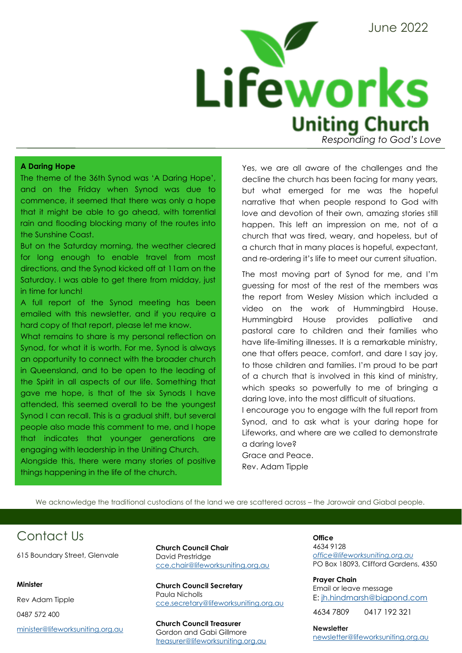

#### **A Daring Hope**

The theme of the 36th Synod was 'A Daring Hope', and on the Friday when Synod was due to commence, it seemed that there was only a hope that it might be able to go ahead, with torrential rain and flooding blocking many of the routes into the Sunshine Coast.

But on the Saturday morning, the weather cleared for long enough to enable travel from most directions, and the Synod kicked off at 11am on the Saturday. I was able to get there from midday, just in time for lunch!

A full report of the Synod meeting has been emailed with this newsletter, and if you require a hard copy of that report, please let me know.

What remains to share is my personal reflection on Synod, for what it is worth. For me, Synod is always an opportunity to connect with the broader church in Queensland, and to be open to the leading of the Spirit in all aspects of our life. Something that gave me hope, is that of the six Synods I have attended, this seemed overall to be the youngest Synod I can recall. This is a gradual shift, but several people also made this comment to me, and I hope that indicates that younger generations are engaging with leadership in the Uniting Church. Alongside this, there were many stories of positive things happening in the life of the church.

Yes, we are all aware of the challenges and the decline the church has been facing for many years, but what emerged for me was the hopeful narrative that when people respond to God with love and devotion of their own, amazing stories still happen. This left an impression on me, not of a church that was tired, weary, and hopeless, but of a church that in many places is hopeful, expectant, and re-ordering it's life to meet our current situation.

The most moving part of Synod for me, and I'm guessing for most of the rest of the members was the report from Wesley Mission which included a video on the work of Hummingbird House. Hummingbird House provides palliative and pastoral care to children and their families who have life-limiting illnesses. It is a remarkable ministry, one that offers peace, comfort, and dare I say joy, to those children and families. I'm proud to be part of a church that is involved in this kind of ministry, which speaks so powerfully to me of bringing a daring love, into the most difficult of situations.

I encourage you to engage with the full report from Synod, and to ask what is your daring hope for Lifeworks, and where are we called to demonstrate a daring love? Grace and Peace.

Rev. Adam Tipple

We acknowledge the traditional custodians of the land we are scattered across – the Jarowair and Giabal people.

# Contact Us

615 Boundary Street, Glenvale

#### **Minister**

Rev Adam Tipple 0487 572 400

[minister@lifeworksuniting.org.au](mailto:minister@lifeworksuniting.org.au)

**Church Council Chair** David Prestridge [cce.chair@lifeworksuniting.org.au](mailto:cce.chair@lifeworksuniting.org.au)

**Church Council Secretary** Paula Nicholls [cce.secretary@lifeworksuniting.org.au](mailto:cce.secretary@lifeworksuniting.org.au)

**Church Council Treasurer** Gordon and Gabi Gillmore [treasurer@lifeworksuniting.org.au](mailto:treasurer@lifeworksuniting.org.au) **Office** 4634 9128 *[office@lifeworksuniting.org.au](mailto:office@lifeworksuniting.org.au)* PO Box 18093, Clifford Gardens, 4350

**Prayer Chain** Email or leave message E: [jh.hindmarsh@bigpond.com](mailto:jh.hindmarsh@bigpond.com)

4634 7809 0417 192 321

**Newsletter** [newsletter@lifeworksuniting.org.au](mailto:newsletter@lifeworksuniting.org.au)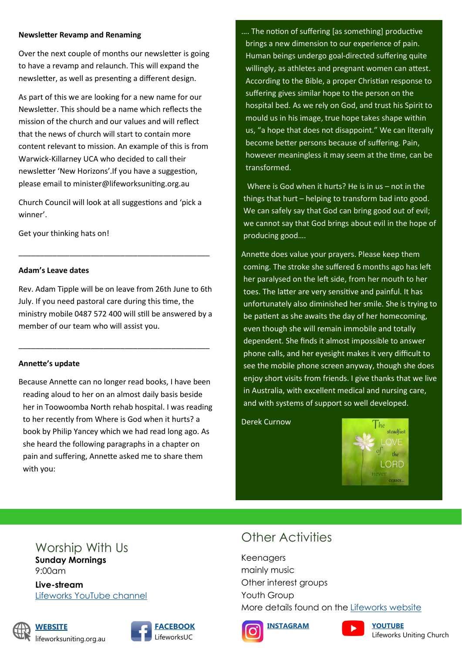### **Newsletter Revamp and Renaming**

Over the next couple of months our newsletter is going to have a revamp and relaunch. This will expand the newsletter, as well as presenting a different design.

As part of this we are looking for a new name for our Newsletter. This should be a name which reflects the mission of the church and our values and will reflect that the news of church will start to contain more content relevant to mission. An example of this is from Warwick-Killarney UCA who decided to call their newsletter 'New Horizons'.If you have a suggestion, please email to minister@lifeworksuniting.org.au

Church Council will look at all suggestions and 'pick a winner'.

\_\_\_\_\_\_\_\_\_\_\_\_\_\_\_\_\_\_\_\_\_\_\_\_\_\_\_\_\_\_\_\_\_\_\_\_\_\_\_\_\_\_\_\_\_

Get your thinking hats on!

## **Adam's Leave dates**

Rev. Adam Tipple will be on leave from 26th June to 6th July. If you need pastoral care during this time, the ministry mobile 0487 572 400 will still be answered by a member of our team who will assist you.

\_\_\_\_\_\_\_\_\_\_\_\_\_\_\_\_\_\_\_\_\_\_\_\_\_\_\_\_\_\_\_\_\_\_\_\_\_\_\_\_\_\_\_\_\_

## **Annette's update**

Because Annette can no longer read books, I have been reading aloud to her on an almost daily basis beside her in Toowoomba North rehab hospital. I was reading to her recently from Where is God when it hurts? a book by Philip Yancey which we had read long ago. As she heard the following paragraphs in a chapter on pain and suffering, Annette asked me to share them with you:

…. The notion of suffering [as something] productive brings a new dimension to our experience of pain. Human beings undergo goal-directed suffering quite willingly, as athletes and pregnant women can attest. According to the Bible, a proper Christian response to suffering gives similar hope to the person on the hospital bed. As we rely on God, and trust his Spirit to mould us in his image, true hope takes shape within us, "a hope that does not disappoint." We can literally become better persons because of suffering. Pain, however meaningless it may seem at the time, can be transformed.

 Where is God when it hurts? He is in us – not in the things that hurt – helping to transform bad into good. We can safely say that God can bring good out of evil; we cannot say that God brings about evil in the hope of producing good….

Annette does value your prayers. Please keep them coming. The stroke she suffered 6 months ago has left her paralysed on the left side, from her mouth to her toes. The latter are very sensitive and painful. It has unfortunately also diminished her smile. She is trying to be patient as she awaits the day of her homecoming, even though she will remain immobile and totally dependent. She finds it almost impossible to answer phone calls, and her eyesight makes it very difficult to see the mobile phone screen anyway, though she does enjoy short visits from friends. I give thanks that we live in Australia, with excellent medical and nursing care, and with systems of support so well developed.

Derek Curnow



## Worship With Us **Sunday Mornings**

9:00am

**Live-stream** [Lifeworks YouTube channel](https://www.youtube.com/channel/UCcZJJJZ7xf5v-mpVP0_E-CA)







# Other Activities

Keenagers mainly music Other interest groups Youth Group More details found on the [Lifeworks website](https://lifeworksuniting.org.au/)







Lifeworks Uniting Church